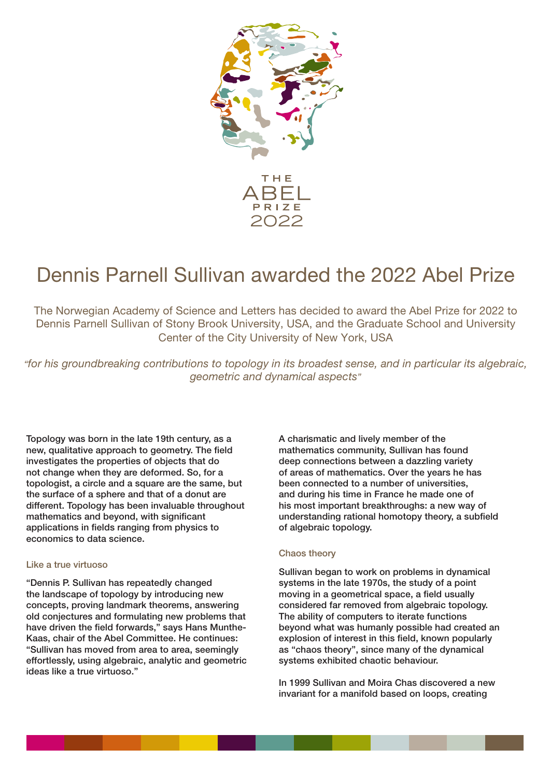

# Dennis Parnell Sullivan awarded the 2022 Abel Prize

The Norwegian Academy of Science and Letters has decided to award the Abel Prize for 2022 to Dennis Parnell Sullivan of Stony Brook University, USA, and the Graduate School and University Center of the City University of New York, USA

*"for his groundbreaking contributions to topology in its broadest sense, and in particular its algebraic, geometric and dynamical aspects"*

Topology was born in the late 19th century, as a new, qualitative approach to geometry. The field investigates the properties of objects that do not change when they are deformed. So, for a topologist, a circle and a square are the same, but the surface of a sphere and that of a donut are different. Topology has been invaluable throughout mathematics and beyond, with significant applications in fields ranging from physics to economics to data science.

#### Like a true virtuoso

"Dennis P. Sullivan has repeatedly changed the landscape of topology by introducing new concepts, proving landmark theorems, answering old conjectures and formulating new problems that have driven the field forwards," says Hans Munthe-Kaas, chair of the Abel Committee. He continues: "Sullivan has moved from area to area, seemingly effortlessly, using algebraic, analytic and geometric ideas like a true virtuoso."

A charismatic and lively member of the mathematics community, Sullivan has found deep connections between a dazzling variety of areas of mathematics. Over the years he has been connected to a number of universities, and during his time in France he made one of his most important breakthroughs: a new way of understanding rational homotopy theory, a subfield of algebraic topology.

#### Chaos theory

Sullivan began to work on problems in dynamical systems in the late 1970s, the study of a point moving in a geometrical space, a field usually considered far removed from algebraic topology. The ability of computers to iterate functions beyond what was humanly possible had created an explosion of interest in this field, known popularly as "chaos theory", since many of the dynamical systems exhibited chaotic behaviour.

In 1999 Sullivan and Moira Chas discovered a new invariant for a manifold based on loops, creating